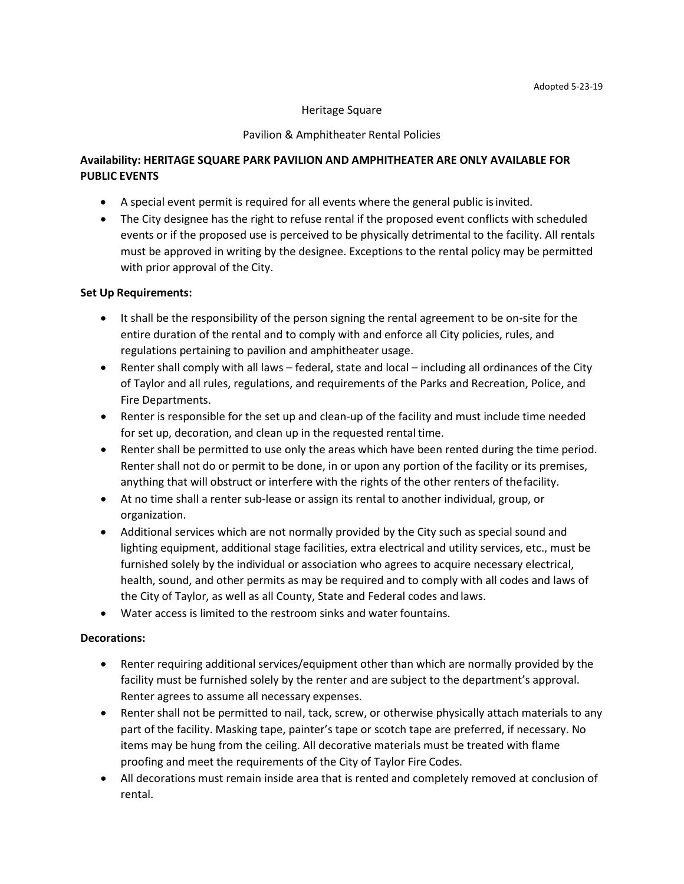#### Heritage Square

#### Pavilion & Amphitheater Rental Policies

## **Availability: HERITAGE SQUARE PARK PAVILION AND AMPHITHEATER ARE ONLY AVAILABLE FOR PUBLIC EVENTS**

- A special event permit is required for all events where the general public isinvited.
- The City designee has the right to refuse rental if the proposed event conflicts with scheduled events or if the proposed use is perceived to be physically detrimental to the facility. All rentals must be approved in writing by the designee. Exceptions to the rental policy may be permitted with prior approval of the City.

#### **Set Up Requirements:**

- It shall be the responsibility of the person signing the rental agreement to be on-site for the entire duration of the rental and to comply with and enforce all City policies, rules, and regulations pertaining to pavilion and amphitheater usage.
- Renter shall comply with all laws federal, state and local including all ordinances of the City of Taylor and all rules, regulations, and requirements of the Parks and Recreation, Police, and Fire Departments.
- Renter is responsible for the set up and clean-up of the facility and must include time needed for set up, decoration, and clean up in the requested rental time.
- Renter shall be permitted to use only the areas which have been rented during the time period. Renter shall not do or permit to be done, in or upon any portion of the facility or its premises, anything that will obstruct or interfere with the rights of the other renters of thefacility.
- At no time shall a renter sub-lease or assign its rental to another individual, group, or organization.
- Additional services which are not normally provided by the City such as special sound and lighting equipment, additional stage facilities, extra electrical and utility services, etc., must be furnished solely by the individual or association who agrees to acquire necessary electrical, health, sound, and other permits as may be required and to comply with all codes and laws of the City of Taylor, as well as all County, State and Federal codes and laws.
- Water access is limited to the restroom sinks and water fountains.

### **Decorations:**

- Renter requiring additional services/equipment other than which are normally provided by the facility must be furnished solely by the renter and are subject to the department's approval. Renter agrees to assume all necessary expenses.
- Renter shall not be permitted to nail, tack, screw, or otherwise physically attach materials to any part of the facility. Masking tape, painter's tape or scotch tape are preferred, if necessary. No items may be hung from the ceiling. All decorative materials must be treated with flame proofing and meet the requirements of the City of Taylor Fire Codes.
- All decorations must remain inside area that is rented and completely removed at conclusion of rental.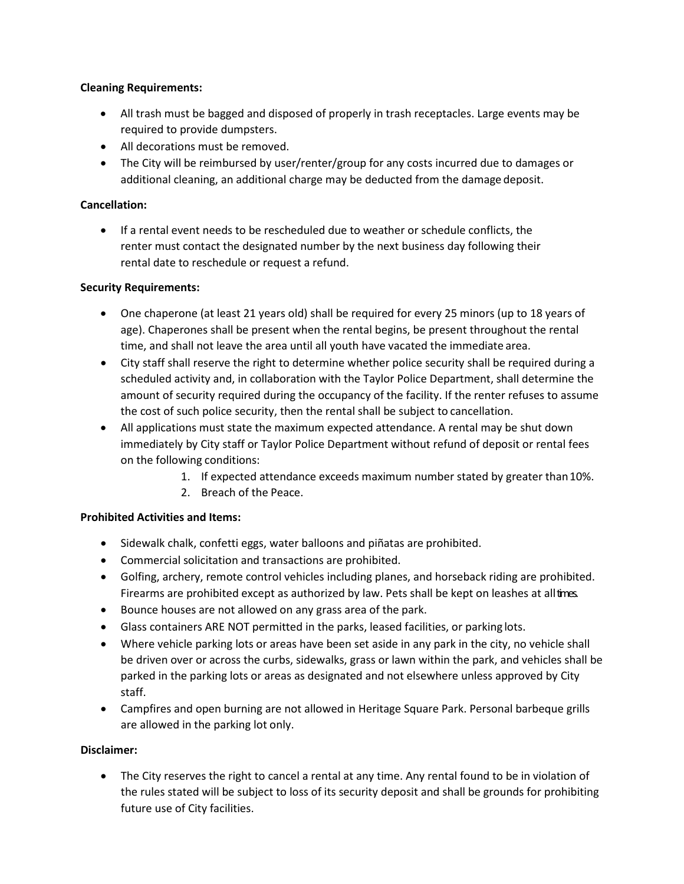## **Cleaning Requirements:**

- All trash must be bagged and disposed of properly in trash receptacles. Large events may be required to provide dumpsters.
- All decorations must be removed.
- The City will be reimbursed by user/renter/group for any costs incurred due to damages or additional cleaning, an additional charge may be deducted from the damage deposit.

## **Cancellation:**

• If a rental event needs to be rescheduled due to weather or schedule conflicts, the renter must contact the designated number by the next business day following their rental date to reschedule or request a refund.

## **Security Requirements:**

- One chaperone (at least 21 years old) shall be required for every 25 minors (up to 18 years of age). Chaperones shall be present when the rental begins, be present throughout the rental time, and shall not leave the area until all youth have vacated the immediate area.
- City staff shall reserve the right to determine whether police security shall be required during a scheduled activity and, in collaboration with the Taylor Police Department, shall determine the amount of security required during the occupancy of the facility. If the renter refuses to assume the cost of such police security, then the rental shall be subject to cancellation.
- All applications must state the maximum expected attendance. A rental may be shut down immediately by City staff or Taylor Police Department without refund of deposit or rental fees on the following conditions:
	- 1. If expected attendance exceeds maximum number stated by greater than10%.
	- 2. Breach of the Peace.

# **Prohibited Activities and Items:**

- Sidewalk chalk, confetti eggs, water balloons and piñatas are prohibited.
- Commercial solicitation and transactions are prohibited.
- Golfing, archery, remote control vehicles including planes, and horseback riding are prohibited. Firearms are prohibited except as authorized by law. Pets shall be kept on leashes at alltimes.
- Bounce houses are not allowed on any grass area of the park.
- Glass containers ARE NOT permitted in the parks, leased facilities, or parking lots.
- Where vehicle parking lots or areas have been set aside in any park in the city, no vehicle shall be driven over or across the curbs, sidewalks, grass or lawn within the park, and vehicles shall be parked in the parking lots or areas as designated and not elsewhere unless approved by City staff.
- Campfires and open burning are not allowed in Heritage Square Park. Personal barbeque grills are allowed in the parking lot only.

# **Disclaimer:**

• The City reserves the right to cancel a rental at any time. Any rental found to be in violation of the rules stated will be subject to loss of its security deposit and shall be grounds for prohibiting future use of City facilities.